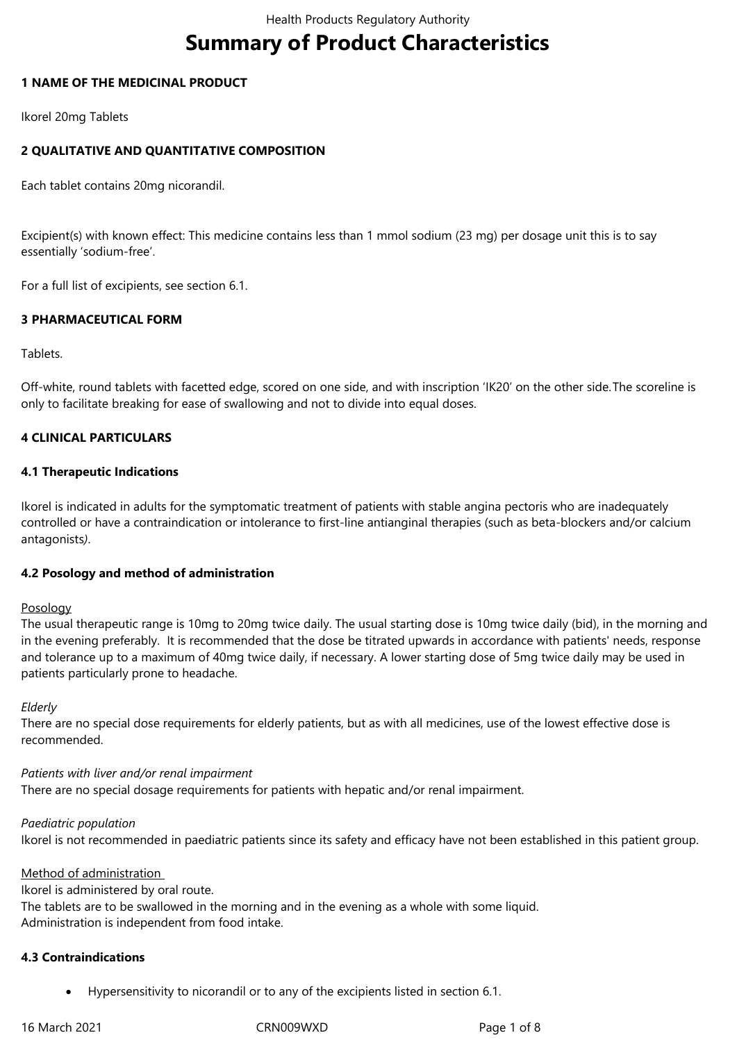# **Summary of Product Characteristics**

# **1 NAME OF THE MEDICINAL PRODUCT**

Ikorel 20mg Tablets

# **2 QUALITATIVE AND QUANTITATIVE COMPOSITION**

Each tablet contains 20mg nicorandil.

Excipient(s) with known effect: This medicine contains less than 1 mmol sodium (23 mg) per dosage unit this is to say essentially 'sodium-free'.

For a full list of excipients, see section 6.1.

# **3 PHARMACEUTICAL FORM**

Tablets.

Off-white, round tablets with facetted edge, scored on one side, and with inscription 'IK20' on the other side.The scoreline is only to facilitate breaking for ease of swallowing and not to divide into equal doses.

# **4 CLINICAL PARTICULARS**

# **4.1 Therapeutic Indications**

Ikorel is indicated in adults for the symptomatic treatment of patients with stable angina pectoris who are inadequately controlled or have a contraindication or intolerance to first-line antianginal therapies (such as beta-blockers and/or calcium antagonists*)*.

## **4.2 Posology and method of administration**

## Posology

The usual therapeutic range is 10mg to 20mg twice daily. The usual starting dose is 10mg twice daily (bid), in the morning and in the evening preferably. It is recommended that the dose be titrated upwards in accordance with patients' needs, response and tolerance up to a maximum of 40mg twice daily, if necessary. A lower starting dose of 5mg twice daily may be used in patients particularly prone to headache.

## *Elderly*

There are no special dose requirements for elderly patients, but as with all medicines, use of the lowest effective dose is recommended.

## *Patients with liver and/or renal impairment*

There are no special dosage requirements for patients with hepatic and/or renal impairment.

## *Paediatric population*

Ikorel is not recommended in paediatric patients since its safety and efficacy have not been established in this patient group.

## Method of administration

Ikorel is administered by oral route. The tablets are to be swallowed in the morning and in the evening as a whole with some liquid. Administration is independent from food intake.

## **4.3 Contraindications**

Hypersensitivity to nicorandil or to any of the excipients listed in section 6.1.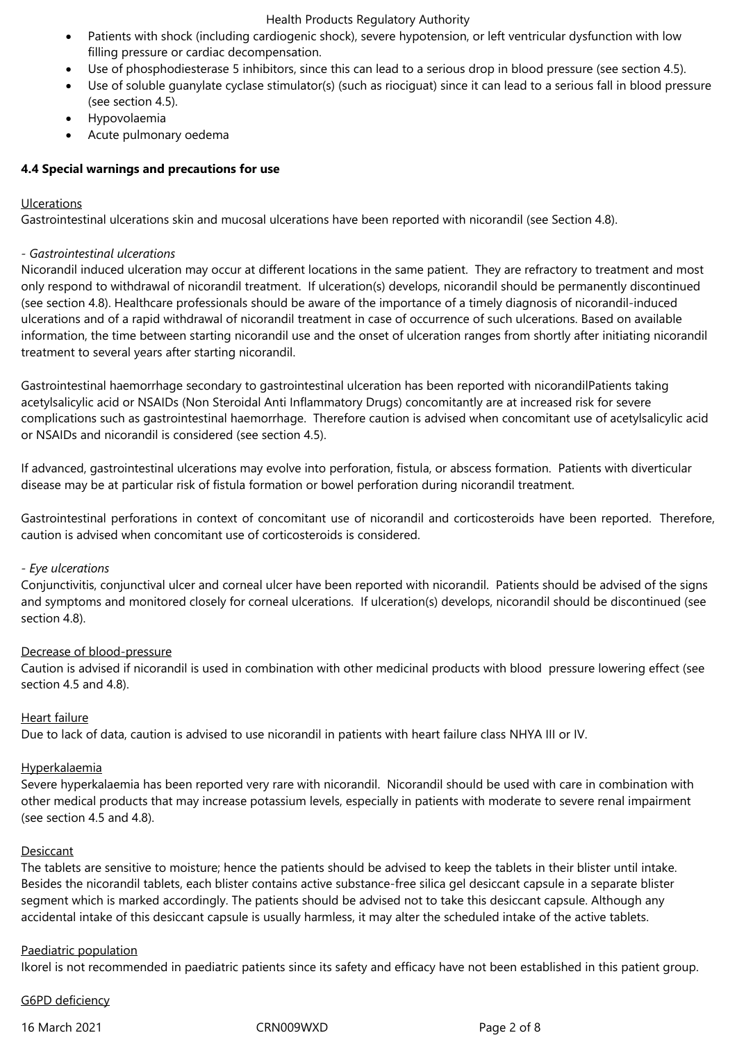- Patients with shock (including cardiogenic shock), severe hypotension, or left ventricular dysfunction with low filling pressure or cardiac decompensation.
- Use of phosphodiesterase 5 inhibitors, since this can lead to a serious drop in blood pressure (see section 4.5).
- Use of soluble guanylate cyclase stimulator(s) (such as riociguat) since it can lead to a serious fall in blood pressure (see section 4.5).
- Hypovolaemia
- Acute pulmonary oedema

# **4.4 Special warnings and precautions for use**

# Ulcerations

Gastrointestinal ulcerations skin and mucosal ulcerations have been reported with nicorandil (see Section 4.8).

# *- Gastrointestinal ulcerations*

Nicorandil induced ulceration may occur at different locations in the same patient. They are refractory to treatment and most only respond to withdrawal of nicorandil treatment. If ulceration(s) develops, nicorandil should be permanently discontinued (see section 4.8). Healthcare professionals should be aware of the importance of a timely diagnosis of nicorandil-induced ulcerations and of a rapid withdrawal of nicorandil treatment in case of occurrence of such ulcerations. Based on available information, the time between starting nicorandil use and the onset of ulceration ranges from shortly after initiating nicorandil treatment to several years after starting nicorandil.

Gastrointestinal haemorrhage secondary to gastrointestinal ulceration has been reported with nicorandilPatients taking acetylsalicylic acid or NSAIDs (Non Steroidal Anti Inflammatory Drugs) concomitantly are at increased risk for severe complications such as gastrointestinal haemorrhage. Therefore caution is advised when concomitant use of acetylsalicylic acid or NSAIDs and nicorandil is considered (see section 4.5).

If advanced, gastrointestinal ulcerations may evolve into perforation, fistula, or abscess formation. Patients with diverticular disease may be at particular risk of fistula formation or bowel perforation during nicorandil treatment.

Gastrointestinal perforations in context of concomitant use of nicorandil and corticosteroids have been reported. Therefore, caution is advised when concomitant use of corticosteroids is considered.

## *- Eye ulcerations*

Conjunctivitis, conjunctival ulcer and corneal ulcer have been reported with nicorandil. Patients should be advised of the signs and symptoms and monitored closely for corneal ulcerations. If ulceration(s) develops, nicorandil should be discontinued (see section 4.8).

## Decrease of blood-pressure

Caution is advised if nicorandil is used in combination with other medicinal products with blood pressure lowering effect (see section 4.5 and 4.8).

# Heart failure

Due to lack of data, caution is advised to use nicorandil in patients with heart failure class NHYA III or IV.

## Hyperkalaemia

Severe hyperkalaemia has been reported very rare with nicorandil. Nicorandil should be used with care in combination with other medical products that may increase potassium levels, especially in patients with moderate to severe renal impairment (see section 4.5 and 4.8).

## Desiccant

The tablets are sensitive to moisture; hence the patients should be advised to keep the tablets in their blister until intake. Besides the nicorandil tablets, each blister contains active substance-free silica gel desiccant capsule in a separate blister segment which is marked accordingly. The patients should be advised not to take this desiccant capsule. Although any accidental intake of this desiccant capsule is usually harmless, it may alter the scheduled intake of the active tablets.

# Paediatric population

Ikorel is not recommended in paediatric patients since its safety and efficacy have not been established in this patient group.

## G6PD deficiency

16 March 2021 CRN009WXD Page 2 of 8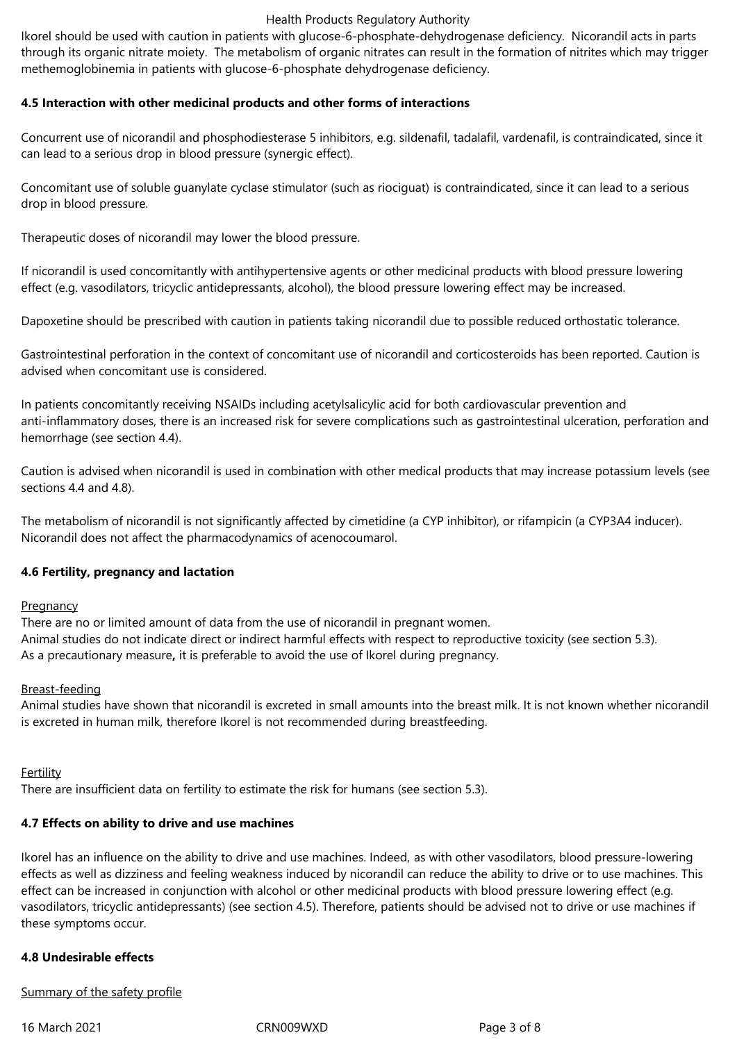Ikorel should be used with caution in patients with glucose-6-phosphate-dehydrogenase deficiency. Nicorandil acts in parts through its organic nitrate moiety. The metabolism of organic nitrates can result in the formation of nitrites which may trigger methemoglobinemia in patients with glucose-6-phosphate dehydrogenase deficiency.

# **4.5 Interaction with other medicinal products and other forms of interactions**

Concurrent use of nicorandil and phosphodiesterase 5 inhibitors, e.g. sildenafil, tadalafil, vardenafil, is contraindicated, since it can lead to a serious drop in blood pressure (synergic effect).

Concomitant use of soluble guanylate cyclase stimulator (such as riociguat) is contraindicated, since it can lead to a serious drop in blood pressure.

Therapeutic doses of nicorandil may lower the blood pressure.

If nicorandil is used concomitantly with antihypertensive agents or other medicinal products with blood pressure lowering effect (e.g. vasodilators, tricyclic antidepressants, alcohol), the blood pressure lowering effect may be increased.

Dapoxetine should be prescribed with caution in patients taking nicorandil due to possible reduced orthostatic tolerance.

Gastrointestinal perforation in the context of concomitant use of nicorandil and corticosteroids has been reported. Caution is advised when concomitant use is considered.

In patients concomitantly receiving NSAIDs including acetylsalicylic acid for both cardiovascular prevention and anti-inflammatory doses, there is an increased risk for severe complications such as gastrointestinal ulceration, perforation and hemorrhage (see section 4.4).

Caution is advised when nicorandil is used in combination with other medical products that may increase potassium levels (see sections 4.4 and 4.8).

The metabolism of nicorandil is not significantly affected by cimetidine (a CYP inhibitor), or rifampicin (a CYP3A4 inducer). Nicorandil does not affect the pharmacodynamics of acenocoumarol.

## **4.6 Fertility, pregnancy and lactation**

## **Pregnancy**

There are no or limited amount of data from the use of nicorandil in pregnant women. Animal studies do not indicate direct or indirect harmful effects with respect to reproductive toxicity (see section 5.3). As a precautionary measure**,** it is preferable to avoid the use of Ikorel during pregnancy.

## Breast-feeding

Animal studies have shown that nicorandil is excreted in small amounts into the breast milk. It is not known whether nicorandil is excreted in human milk, therefore Ikorel is not recommended during breastfeeding.

## **Fertility**

There are insufficient data on fertility to estimate the risk for humans (see section 5.3).

# **4.7 Effects on ability to drive and use machines**

Ikorel has an influence on the ability to drive and use machines. Indeed, as with other vasodilators, blood pressure-lowering effects as well as dizziness and feeling weakness induced by nicorandil can reduce the ability to drive or to use machines. This effect can be increased in conjunction with alcohol or other medicinal products with blood pressure lowering effect (e.g. vasodilators, tricyclic antidepressants) (see section 4.5). Therefore, patients should be advised not to drive or use machines if these symptoms occur.

## **4.8 Undesirable effects**

## Summary of the safety profile

16 March 2021 CRN009WXD Page 3 of 8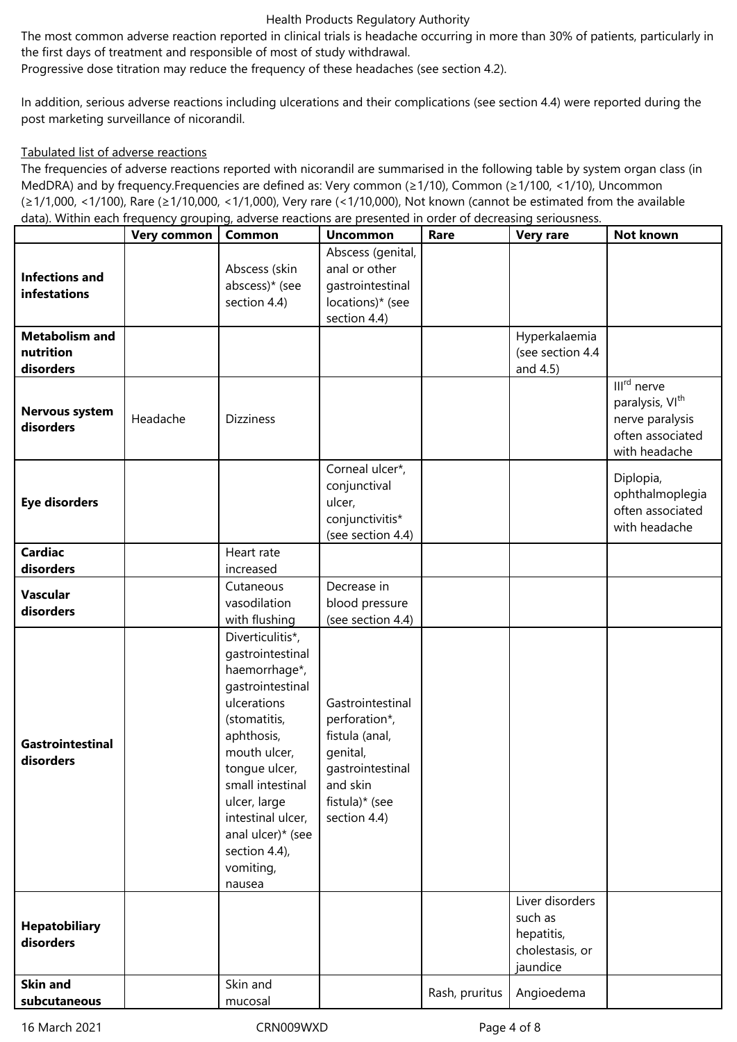The most common adverse reaction reported in clinical trials is headache occurring in more than 30% of patients, particularly in the first days of treatment and responsible of most of study withdrawal.

Progressive dose titration may reduce the frequency of these headaches (see section 4.2).

In addition, serious adverse reactions including ulcerations and their complications (see section 4.4) were reported during the post marketing surveillance of nicorandil.

## Tabulated list of adverse reactions

The frequencies of adverse reactions reported with nicorandil are summarised in the following table by system organ class (in MedDRA) and by frequency.Frequencies are defined as: Very common (≥1/10), Common (≥1/100, <1/10), Uncommon (≥1/1,000, <1/100), Rare (≥1/10,000, <1/1,000), Very rare (<1/10,000), Not known (cannot be estimated from the available data). Within each frequency grouping, adverse reactions are presented in order of decreasing seriousness.

|                                                 | Very common | <b>Common</b>                                                                                                                                                                                                                                                                 | <b>Uncommon</b>                                                                                                                   | Rare           | <b>Very rare</b>                                                        | Not known                                                                                          |
|-------------------------------------------------|-------------|-------------------------------------------------------------------------------------------------------------------------------------------------------------------------------------------------------------------------------------------------------------------------------|-----------------------------------------------------------------------------------------------------------------------------------|----------------|-------------------------------------------------------------------------|----------------------------------------------------------------------------------------------------|
| <b>Infections and</b><br>infestations           |             | Abscess (skin<br>abscess)* (see<br>section 4.4)                                                                                                                                                                                                                               | Abscess (genital,<br>anal or other<br>gastrointestinal<br>locations)* (see<br>section 4.4)                                        |                |                                                                         |                                                                                                    |
| <b>Metabolism and</b><br>nutrition<br>disorders |             |                                                                                                                                                                                                                                                                               |                                                                                                                                   |                | Hyperkalaemia<br>(see section 4.4<br>and 4.5)                           |                                                                                                    |
| <b>Nervous system</b><br>disorders              | Headache    | <b>Dizziness</b>                                                                                                                                                                                                                                                              |                                                                                                                                   |                |                                                                         | III <sup>rd</sup> nerve<br>paralysis, VIth<br>nerve paralysis<br>often associated<br>with headache |
| <b>Eye disorders</b>                            |             |                                                                                                                                                                                                                                                                               | Corneal ulcer*,<br>conjunctival<br>ulcer,<br>conjunctivitis*<br>(see section 4.4)                                                 |                |                                                                         | Diplopia,<br>ophthalmoplegia<br>often associated<br>with headache                                  |
| <b>Cardiac</b><br>disorders                     |             | Heart rate<br>increased                                                                                                                                                                                                                                                       |                                                                                                                                   |                |                                                                         |                                                                                                    |
| <b>Vascular</b><br>disorders                    |             | Cutaneous<br>vasodilation<br>with flushing                                                                                                                                                                                                                                    | Decrease in<br>blood pressure<br>(see section 4.4)                                                                                |                |                                                                         |                                                                                                    |
| <b>Gastrointestinal</b><br>disorders            |             | Diverticulitis*,<br>gastrointestinal<br>haemorrhage*,<br>gastrointestinal<br>ulcerations<br>(stomatitis,<br>aphthosis,<br>mouth ulcer,<br>tongue ulcer,<br>small intestinal<br>ulcer, large<br>intestinal ulcer,<br>anal ulcer)* (see<br>section 4.4),<br>vomiting,<br>nausea | Gastrointestinal<br>perforation*,<br>fistula (anal,<br>genital,<br>gastrointestinal<br>and skin<br>fistula)* (see<br>section 4.4) |                |                                                                         |                                                                                                    |
| <b>Hepatobiliary</b><br>disorders               |             |                                                                                                                                                                                                                                                                               |                                                                                                                                   |                | Liver disorders<br>such as<br>hepatitis,<br>cholestasis, or<br>jaundice |                                                                                                    |
| <b>Skin and</b><br>subcutaneous                 |             | Skin and<br>mucosal                                                                                                                                                                                                                                                           |                                                                                                                                   | Rash, pruritus | Angioedema                                                              |                                                                                                    |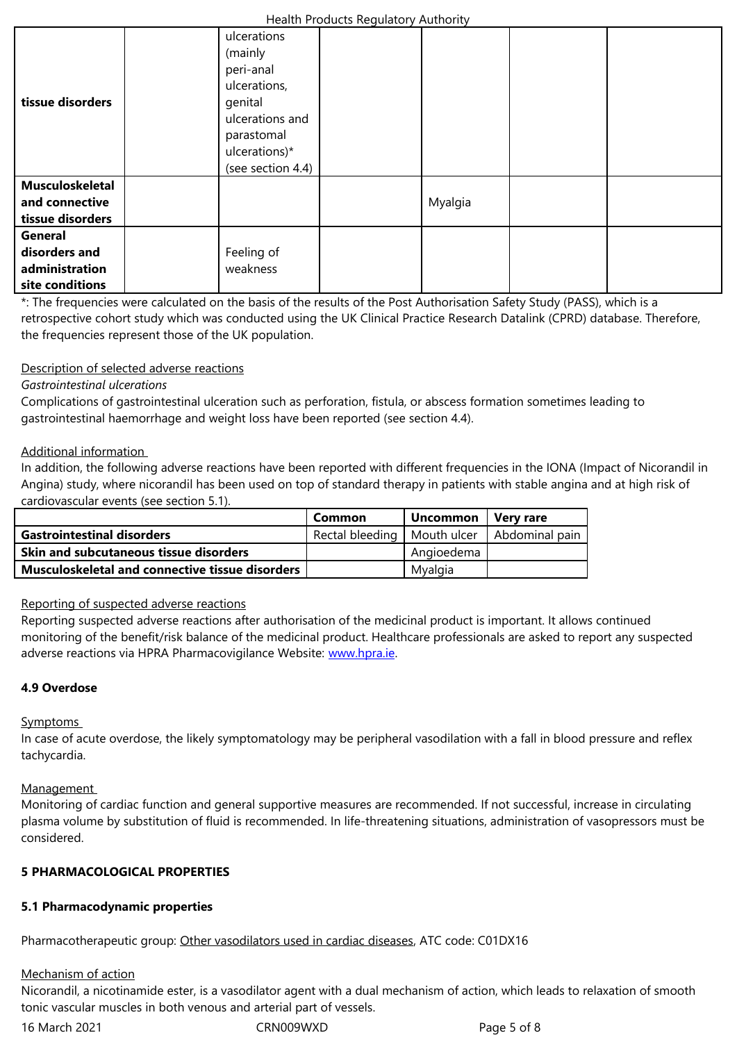|                  | peri-anal         |         |  |
|------------------|-------------------|---------|--|
|                  | ulcerations,      |         |  |
| tissue disorders | genital           |         |  |
|                  | ulcerations and   |         |  |
|                  | parastomal        |         |  |
|                  | ulcerations)*     |         |  |
|                  | (see section 4.4) |         |  |
| Musculoskeletal  |                   |         |  |
| and connective   |                   | Myalgia |  |
| tissue disorders |                   |         |  |
| General          |                   |         |  |
| disorders and    | Feeling of        |         |  |
| administration   | weakness          |         |  |
| site conditions  |                   |         |  |

\*: The frequencies were calculated on the basis of the results of the Post Authorisation Safety Study (PASS), which is a retrospective cohort study which was conducted using the UK Clinical Practice Research Datalink (CPRD) database. Therefore, the frequencies represent those of the UK population.

# Description of selected adverse reactions

# *Gastrointestinal ulcerations*

Complications of gastrointestinal ulceration such as perforation, fistula, or abscess formation sometimes leading to gastrointestinal haemorrhage and weight loss have been reported (see section 4.4).

# Additional information

In addition, the following adverse reactions have been reported with different frequencies in the IONA (Impact of Nicorandil in Angina) study, where nicorandil has been used on top of standard therapy in patients with stable angina and at high risk of cardiovascular events (see section 5.1).

|                                                        | Common                                         | Uncommon   | . Verv rare |
|--------------------------------------------------------|------------------------------------------------|------------|-------------|
| <b>Gastrointestinal disorders</b>                      | Rectal bleeding   Mouth ulcer   Abdominal pain |            |             |
| <b>Skin and subcutaneous tissue disorders</b>          |                                                | Angioedema |             |
| <b>Musculoskeletal and connective tissue disorders</b> |                                                | Mvalgia    |             |

## Reporting of suspected adverse reactions

Reporting suspected adverse reactions after authorisation of the medicinal product is important. It allows continued monitoring of the benefit/risk balance of the medicinal product. Healthcare professionals are asked to report any suspected adverse reactions via HPRA Pharmacovigilance Website: www.hpra.ie.

# **4.9 Overdose**

## **Symptoms**

In case of acute overdose, the likely symptomatology may be peripheral vasodilation with a fall in blood pressure and reflex tachycardia.

## Management

Monitoring of cardiac function and general supportive measures are recommended. If not successful, increase in circulating plasma volume by substitution of fluid is recommended. In life-threatening situations, administration of vasopressors must be considered.

# **5 PHARMACOLOGICAL PROPERTIES**

# **5.1 Pharmacodynamic properties**

Pharmacotherapeutic group: Other vasodilators used in cardiac diseases, ATC code: C01DX16

## Mechanism of action

Nicorandil, a nicotinamide ester, is a vasodilator agent with a dual mechanism of action, which leads to relaxation of smooth tonic vascular muscles in bot[h venous and arterial part of vessels.](http://www.whocc.no/atc_ddd_index/?code=C01DX)

16 March 2021 **CRN009WXD** CRN009WXD Page 5 of 8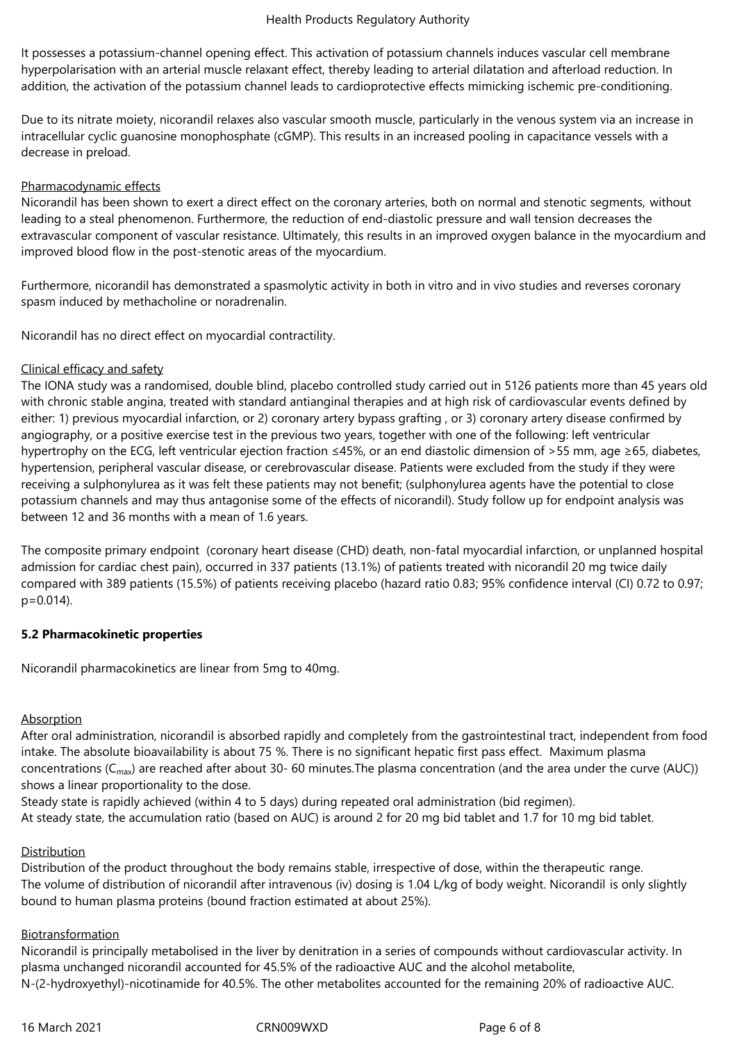It possesses a potassium-channel opening effect. This activation of potassium channels induces vascular cell membrane hyperpolarisation with an arterial muscle relaxant effect, thereby leading to arterial dilatation and afterload reduction. In addition, the activation of the potassium channel leads to cardioprotective effects mimicking ischemic pre-conditioning.

Due to its nitrate moiety, nicorandil relaxes also vascular smooth muscle, particularly in the venous system via an increase in intracellular cyclic guanosine monophosphate (cGMP). This results in an increased pooling in capacitance vessels with a decrease in preload.

# Pharmacodynamic effects

Nicorandil has been shown to exert a direct effect on the coronary arteries, both on normal and stenotic segments, without leading to a steal phenomenon. Furthermore, the reduction of end-diastolic pressure and wall tension decreases the extravascular component of vascular resistance. Ultimately, this results in an improved oxygen balance in the myocardium and improved blood flow in the post-stenotic areas of the myocardium.

Furthermore, nicorandil has demonstrated a spasmolytic activity in both in vitro and in vivo studies and reverses coronary spasm induced by methacholine or noradrenalin.

Nicorandil has no direct effect on myocardial contractility.

# Clinical efficacy and safety

The IONA study was a randomised, double blind, placebo controlled study carried out in 5126 patients more than 45 years old with chronic stable angina, treated with standard antianginal therapies and at high risk of cardiovascular events defined by either: 1) previous myocardial infarction, or 2) coronary artery bypass grafting , or 3) coronary artery disease confirmed by angiography, or a positive exercise test in the previous two years, together with one of the following: left ventricular hypertrophy on the ECG, left ventricular ejection fraction ≤45%, or an end diastolic dimension of >55 mm, age ≥65, diabetes, hypertension, peripheral vascular disease, or cerebrovascular disease. Patients were excluded from the study if they were receiving a sulphonylurea as it was felt these patients may not benefit; (sulphonylurea agents have the potential to close potassium channels and may thus antagonise some of the effects of nicorandil). Study follow up for endpoint analysis was between 12 and 36 months with a mean of 1.6 years.

The composite primary endpoint (coronary heart disease (CHD) death, non-fatal myocardial infarction, or unplanned hospital admission for cardiac chest pain), occurred in 337 patients (13.1%) of patients treated with nicorandil 20 mg twice daily compared with 389 patients (15.5%) of patients receiving placebo (hazard ratio 0.83; 95% confidence interval (CI) 0.72 to 0.97; p=0.014).

# **5.2 Pharmacokinetic properties**

Nicorandil pharmacokinetics are linear from 5mg to 40mg.

# **Absorption**

After oral administration, nicorandil is absorbed rapidly and completely from the gastrointestinal tract, independent from food intake. The absolute bioavailability is about 75 %. There is no significant hepatic first pass effect. Maximum plasma concentrations ( $C_{\text{max}}$ ) are reached after about 30- 60 minutes. The plasma concentration (and the area under the curve (AUC)) shows a linear proportionality to the dose.

Steady state is rapidly achieved (within 4 to 5 days) during repeated oral administration (bid regimen). At steady state, the accumulation ratio (based on AUC) is around 2 for 20 mg bid tablet and 1.7 for 10 mg bid tablet.

# Distribution

Distribution of the product throughout the body remains stable, irrespective of dose, within the therapeutic range. The volume of distribution of nicorandil after intravenous (iv) dosing is 1.04 L/kg of body weight. Nicorandil is only slightly bound to human plasma proteins (bound fraction estimated at about 25%).

## Biotransformation

Nicorandil is principally metabolised in the liver by denitration in a series of compounds without cardiovascular activity. In plasma unchanged nicorandil accounted for 45.5% of the radioactive AUC and the alcohol metabolite, N-(2-hydroxyethyl)-nicotinamide for 40.5%. The other metabolites accounted for the remaining 20% of radioactive AUC.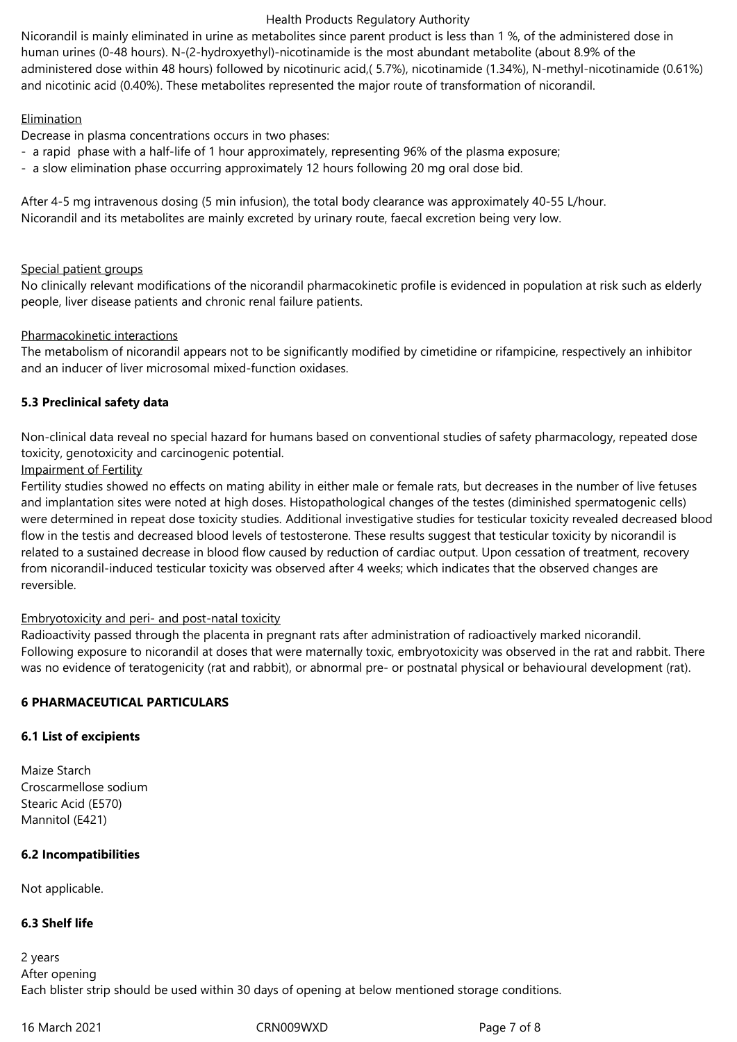Nicorandil is mainly eliminated in urine as metabolites since parent product is less than 1 %, of the administered dose in human urines (0-48 hours). N‑(2‑hydroxyethyl)‑nicotinamide is the most abundant metabolite (about 8.9% of the administered dose within 48 hours) followed by nicotinuric acid,( 5.7%), nicotinamide (1.34%), N-methyl-nicotinamide (0.61%) and nicotinic acid (0.40%). These metabolites represented the major route of transformation of nicorandil.

# **Elimination**

Decrease in plasma concentrations occurs in two phases:

- a rapid phase with a half‑life of 1 hour approximately, representing 96% of the plasma exposure;
- a slow elimination phase occurring approximately 12 hours following 20 mg oral dose bid.

After 4-5 mg intravenous dosing (5 min infusion), the total body clearance was approximately 40-55 L/hour. Nicorandil and its metabolites are mainly excreted by urinary route, faecal excretion being very low.

# Special patient groups

No clinically relevant modifications of the nicorandil pharmacokinetic profile is evidenced in population at risk such as elderly people, liver disease patients and chronic renal failure patients.

# Pharmacokinetic interactions

The metabolism of nicorandil appears not to be significantly modified by cimetidine or rifampicine, respectively an inhibitor and an inducer of liver microsomal mixed-function oxidases.

# **5.3 Preclinical safety data**

Non-clinical data reveal no special hazard for humans based on conventional studies of safety pharmacology, repeated dose toxicity, genotoxicity and carcinogenic potential.

# Impairment of Fertility

Fertility studies showed no effects on mating ability in either male or female rats, but decreases in the number of live fetuses and implantation sites were noted at high doses. Histopathological changes of the testes (diminished spermatogenic cells) were determined in repeat dose toxicity studies. Additional investigative studies for testicular toxicity revealed decreased blood flow in the testis and decreased blood levels of testosterone. These results suggest that testicular toxicity by nicorandil is related to a sustained decrease in blood flow caused by reduction of cardiac output. Upon cessation of treatment, recovery from nicorandil-induced testicular toxicity was observed after 4 weeks; which indicates that the observed changes are reversible.

## Embryotoxicity and peri- and post-natal toxicity

Radioactivity passed through the placenta in pregnant rats after administration of radioactively marked nicorandil. Following exposure to nicorandil at doses that were maternally toxic, embryotoxicity was observed in the rat and rabbit. There was no evidence of teratogenicity (rat and rabbit), or abnormal pre- or postnatal physical or behavioural development (rat).

# **6 PHARMACEUTICAL PARTICULARS**

## **6.1 List of excipients**

Maize Starch Croscarmellose sodium Stearic Acid (E570) Mannitol (E421)

# **6.2 Incompatibilities**

Not applicable.

# **6.3 Shelf life**

2 years After opening Each blister strip should be used within 30 days of opening at below mentioned storage conditions.